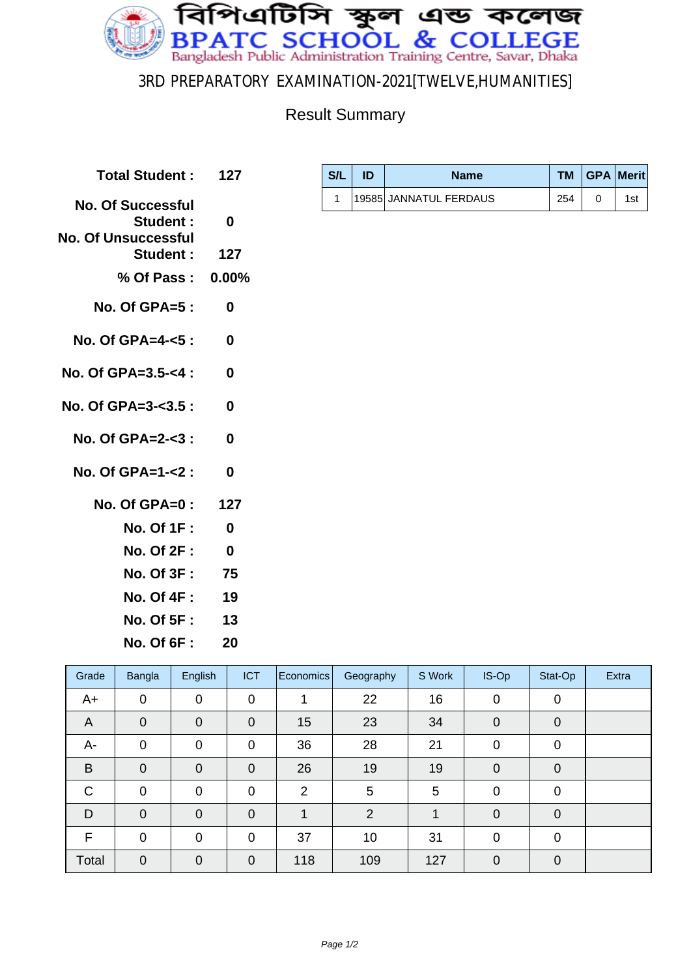

## 3RD PREPARATORY EXAMINATION-2021[TWELVE,HUMANITIES]

## Result Summary

| Total Student: 127                                                        |              |
|---------------------------------------------------------------------------|--------------|
| <b>No. Of Successful</b><br><b>Student:</b><br><b>No. Of Unsuccessful</b> | $\mathbf{0}$ |
| Student: 127                                                              |              |
| % Of Pass: 0.00%                                                          |              |
| No. Of GPA=5 :                                                            | 0            |
| No. Of GPA=4- $<$ 5 :                                                     | 0            |
| No. Of GPA= $3.5 - 4$ :                                                   | 0            |
| No. Of GPA=3- $3.5:$                                                      | 0            |
| No. Of GPA=2-<3 :                                                         | 0            |
| No. Of GPA=1-<2 :                                                         | $\bf{0}$     |
| No. Of GPA=0: 127                                                         |              |
| No. Of 1F :                                                               | 0            |
| No. Of 2F: 0                                                              |              |
| No. Of 3F : 75                                                            |              |
| No. Of 4F :                                                               | 19           |
| No. Of 5F :                                                               | 13           |

| Grade        | Bangla         | English        | <b>ICT</b>     | Economics      | Geography | S Work | IS-Op          | Stat-Op        | <b>Extra</b> |
|--------------|----------------|----------------|----------------|----------------|-----------|--------|----------------|----------------|--------------|
| $A+$         | $\mathbf 0$    | 0              | $\mathbf 0$    |                | 22        | 16     | 0              | $\mathbf 0$    |              |
| A            | $\overline{0}$ | $\mathbf 0$    | $\mathbf 0$    | 15             | 23        | 34     | $\overline{0}$ | $\overline{0}$ |              |
| A-           | $\mathbf 0$    | $\overline{0}$ | $\mathbf 0$    | 36             | 28        | 21     | 0              | 0              |              |
| B            | $\overline{0}$ | $\overline{0}$ | $\mathbf 0$    | 26             | 19        | 19     | 0              | $\mathbf 0$    |              |
| $\mathsf{C}$ | $\mathbf 0$    | 0              | $\mathbf 0$    | $\overline{2}$ | 5         | 5      | 0              | $\Omega$       |              |
| D            | $\mathbf 0$    | $\mathbf 0$    | $\mathbf 0$    |                | 2         |        | 0              | $\overline{0}$ |              |
| F            | $\mathbf 0$    | $\overline{0}$ | $\overline{0}$ | 37             | 10        | 31     | 0              | $\Omega$       |              |
| Total        | $\mathbf 0$    | $\overline{0}$ | $\mathbf 0$    | 118            | 109       | 127    | $\Omega$       | $\Omega$       |              |

| S/L | ID | <b>Name</b>            |     | TM   GPA   Merit |
|-----|----|------------------------|-----|------------------|
|     |    | 19585 JANNATUL FERDAUS | 254 | 1st              |